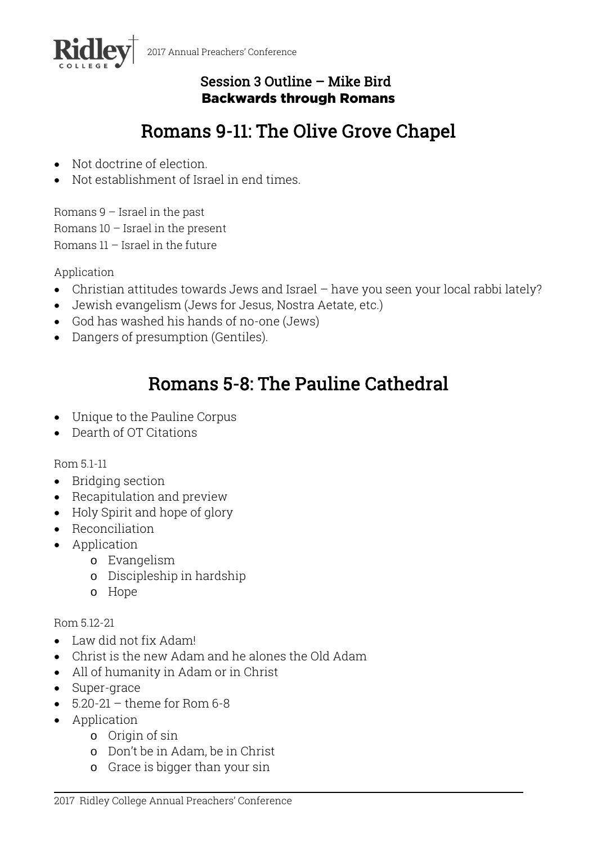

# Session 3 Outline – Mike Bird Backwards through Romans

# Romans 9-11: The Olive Grove Chapel

- Not doctrine of election.
- Not establishment of Israel in end times.

Romans 9 – Israel in the past Romans 10 – Israel in the present Romans 11 – Israel in the future

Application

- Christian attitudes towards Jews and Israel have you seen your local rabbi lately?
- Jewish evangelism (Jews for Jesus, Nostra Aetate, etc.)
- God has washed his hands of no-one (Jews)
- Dangers of presumption (Gentiles).

# Romans 5-8: The Pauline Cathedral

- Unique to the Pauline Corpus
- Dearth of OT Citations

Rom 5.1-11

- Bridging section
- Recapitulation and preview
- Holy Spirit and hope of glory
- Reconciliation
- Application
	- o Evangelism
	- o Discipleship in hardship
	- o Hope

#### Rom 5.12-21

- Law did not fix Adam!
- Christ is the new Adam and he alones the Old Adam
- All of humanity in Adam or in Christ
- Super-grace
- $\bullet$  5.20-21 theme for Rom 6-8
- Application
	- o Origin of sin
	- o Don't be in Adam, be in Christ
	- o Grace is bigger than your sin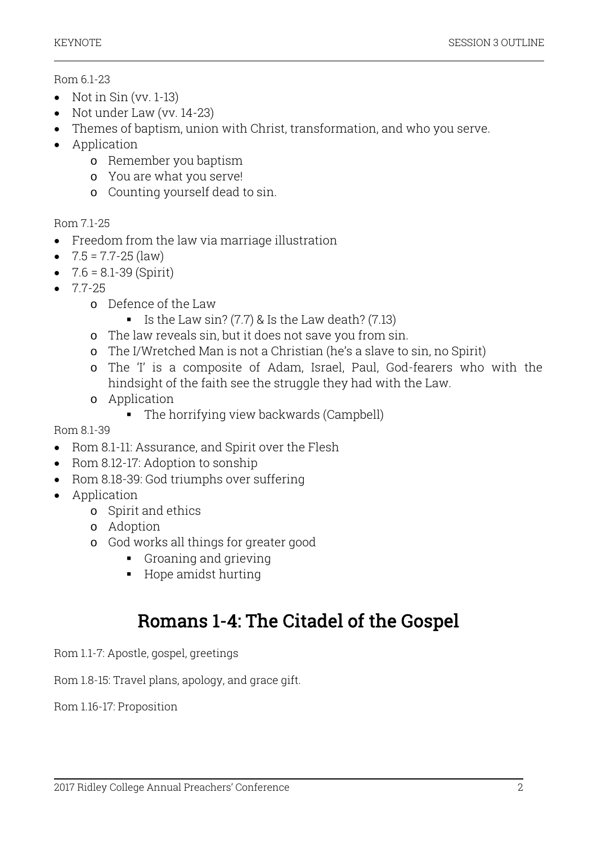### Rom 6.1-23

- $\bullet$  Not in Sin (vv. 1-13)
- Not under Law (vv. 14-23)
- Themes of baptism, union with Christ, transformation, and who you serve.
- Application
	- o Remember you baptism
	- o You are what you serve!
	- o Counting yourself dead to sin.

# Rom 7.1-25

- Freedom from the law via marriage illustration
- $\bullet$  7.5 = 7.7-25 (law)
- $\bullet$  7.6 = 8.1-39 (Spirit)
- $-77-25$ 
	- o Defence of the Law
		- Is the Law sin?  $(7.7)$  & Is the Law death?  $(7.13)$
	- o The law reveals sin, but it does not save you from sin.
	- o The I/Wretched Man is not a Christian (he's a slave to sin, no Spirit)
	- o The 'I' is a composite of Adam, Israel, Paul, God-fearers who with the hindsight of the faith see the struggle they had with the Law.
	- o Application
		- The horrifying view backwards (Campbell)

# Rom 8.1-39

- Rom 8.1-11: Assurance, and Spirit over the Flesh
- Rom 8.12-17: Adoption to sonship
- Rom 8.18-39: God triumphs over suffering
- Application
	- o Spirit and ethics
	- o Adoption
	- o God works all things for greater good
		- Groaning and grieving
		- Hope amidst hurting

# Romans 1-4: The Citadel of the Gospel

Rom 1.1-7: Apostle, gospel, greetings

Rom 1.8-15: Travel plans, apology, and grace gift.

Rom 1.16-17: Proposition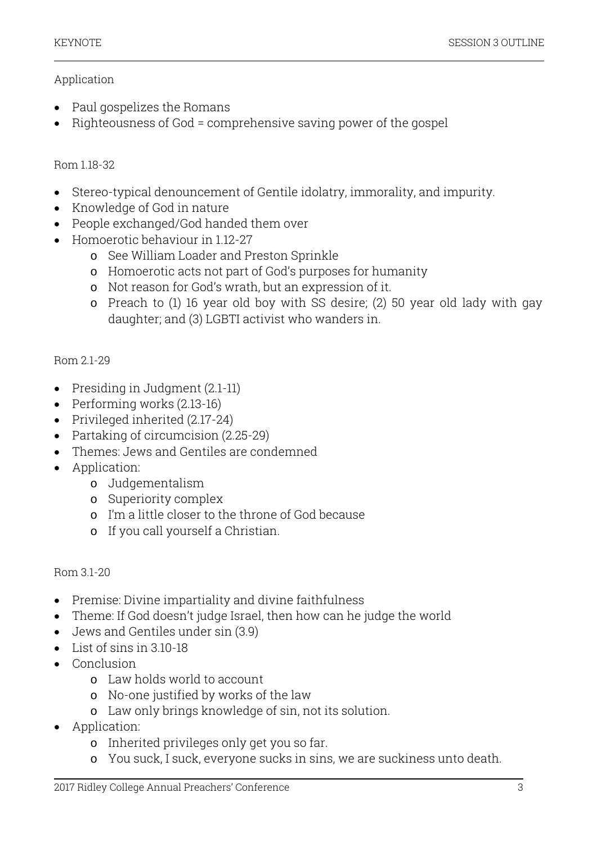### Application

- Paul gospelizes the Romans
- Righteousness of God = comprehensive saving power of the gospel

### Rom 1.18-32

- Stereo-typical denouncement of Gentile idolatry, immorality, and impurity.
- Knowledge of God in nature
- People exchanged/God handed them over
- Homoerotic behaviour in 1.12-27
	- o See William Loader and Preston Sprinkle
	- o Homoerotic acts not part of God's purposes for humanity
	- o Not reason for God's wrath, but an expression of it.
	- o Preach to (1) 16 year old boy with SS desire; (2) 50 year old lady with gay daughter; and (3) LGBTI activist who wanders in.

# Rom 2.1-29

- Presiding in Judgment (2.1-11)
- Performing works (2.13-16)
- Privileged inherited (2.17-24)
- Partaking of circumcision (2.25-29)
- Themes: Jews and Gentiles are condemned
- Application:
	- o Judgementalism
	- o Superiority complex
	- o I'm a little closer to the throne of God because
	- o If you call yourself a Christian.

#### Rom 3.1-20

- Premise: Divine impartiality and divine faithfulness
- Theme: If God doesn't judge Israel, then how can he judge the world
- Jews and Gentiles under sin (3.9)
- $\bullet$  List of sins in 3.10-18
- Conclusion
	- o Law holds world to account
	- o No-one justified by works of the law
	- o Law only brings knowledge of sin, not its solution.
- Application:
	- o Inherited privileges only get you so far.
	- o You suck, I suck, everyone sucks in sins, we are suckiness unto death.